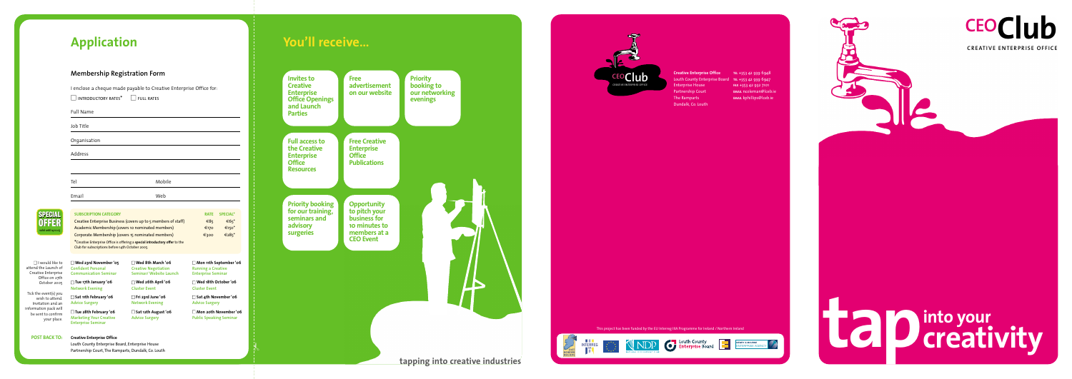**CREATIVE ENTERPRISE OFFICE**



**CEOClub**

| <b>SPECIAL</b>                                                                                                                                                                                                                         | <b>SUBSCRIPTION CATEGORY</b>                                                                                                    |                                                                                    | <b>RATE</b>                                                                             | <b>SPECIAL*</b> |
|----------------------------------------------------------------------------------------------------------------------------------------------------------------------------------------------------------------------------------------|---------------------------------------------------------------------------------------------------------------------------------|------------------------------------------------------------------------------------|-----------------------------------------------------------------------------------------|-----------------|
| OFFER<br>valid until 14.10.05                                                                                                                                                                                                          | Creative Enterprise Business (covers up to 5 members of staff)                                                                  |                                                                                    | €85                                                                                     | $\epsilon$ 65*  |
|                                                                                                                                                                                                                                        | Academic Membership (covers 10 nominated members)                                                                               |                                                                                    | €170                                                                                    | $€150*$         |
|                                                                                                                                                                                                                                        | Corporate Membership (covers 15 nominated members)                                                                              |                                                                                    | €300                                                                                    | €285*           |
|                                                                                                                                                                                                                                        | *Creative Enterprise Office is offering a special introductory offer to the<br>Club for subscriptions before 14th October 2005. |                                                                                    |                                                                                         |                 |
| $\Box$ I would like to<br>attend the Launch of<br>Creative Enterprise<br>Office on 27th<br>October 2005<br>Tick the event(s) you<br>wish to attend.<br>Invitation and an<br>information pack will<br>be sent to confirm<br>your place. | $\Box$ Wed 23rd November '05<br><b>Confident Personal</b><br><b>Communication Seminar</b>                                       | $\Box$ Wed 8th March '06<br><b>Creative Negotiation</b><br>Seminar/ Website Launch | $\Box$ Mon 11th September '06<br><b>Running a Creative</b><br><b>Enterprise Seminar</b> |                 |
|                                                                                                                                                                                                                                        | $\Box$ Tue 17th January '06<br><b>Network Evening</b>                                                                           | $\Box$ Wed 26th April '06<br><b>Cluster Event</b>                                  | $\Box$ Wed 18th October '06<br><b>Cluster Event</b>                                     |                 |
|                                                                                                                                                                                                                                        | $\Box$ Sat 11th February '06<br><b>Advice Surgery</b>                                                                           | $\Box$ Fri 23rd June '06<br><b>Network Evening</b>                                 | $\Box$ Sat 4th November '06<br><b>Advice Surgery</b>                                    |                 |
|                                                                                                                                                                                                                                        | $\Box$ Tue 28th February '06<br><b>Marketing Your Creative</b><br><b>Enterprise Seminar</b>                                     | $\Box$ Sat 12th August '06<br><b>Advice Surgery</b>                                | $\Box$ Mon 20th November '06<br><b>Public Speaking Seminar</b>                          |                 |

# **Application Vou'll receive...**

</sup><br>ት

**POST BACK TO:**

I enclose a cheque made payable to Creative Enterprise Office for:  $\Box$  INTRODUCTORY RATES<sup>\*</sup>  $\Box$  Full rates





| PEHMI                |
|----------------------|
| 55<br>d              |
| valid until 14.10.05 |

information be sent

## **Membership Registration Form**

| <b>Full Name</b> |        |
|------------------|--------|
| Job Title        |        |
| Organisation     |        |
| Address          |        |
|                  |        |
| Tel              | Mobile |
| Email            | Web    |



Enterprise House Partnership Court The Ramparts Dundalk, Co. Louth

**Creative Enterprise Office TEL** +353 42 939 6948 Louth County Enterprise Board **TEL** +353 42 939 6947 **FAX** +353 42 932 7101 **EMAIL** ncoleman@lceb.ie **EMAIL** kphillips@lceb.ie



**Creative Enterprise Office**

Louth County Enterprise Board, Enterprise House Partnership Court, The Ramparts, Dundalk, Co. Louth This project has been funded by the EU Interreg IIIA Programme for Ireland / Northern Ireland